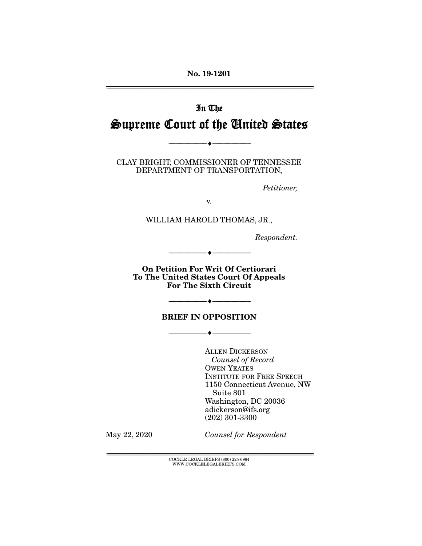**No. 19-1201**  ================================================================================================================

# In The Supreme Court of the United States

CLAY BRIGHT, COMMISSIONER OF TENNESSEE DEPARTMENT OF TRANSPORTATION,

--------------------------------- ♦ ---------------------------------

Petitioner,

v.

WILLIAM HAROLD THOMAS, JR.,

Respondent.

**On Petition For Writ Of Certiorari To The United States Court Of Appeals For The Sixth Circuit** 

 $\begin{array}{c} \bullet \end{array}$ 

**BRIEF IN OPPOSITION** 

--------------------------------- ♦ ---------------------------------

--------------------------------- ♦ ---------------------------------

ALLEN DICKERSON Counsel of Record OWEN YEATES INSTITUTE FOR FREE SPEECH 1150 Connecticut Avenue, NW Suite 801 Washington, DC 20036 adickerson@ifs.org (202) 301-3300

May 22, 2020 Counsel for Respondent

 ${ \rm COCKLE}$  LEGAL BRIEFS (800) 225-6964 WWW.COCKLELEGALBRIEFS.COM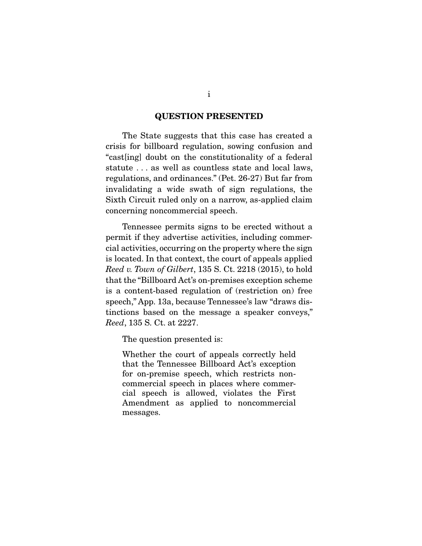#### **QUESTION PRESENTED**

 The State suggests that this case has created a crisis for billboard regulation, sowing confusion and "cast[ing] doubt on the constitutionality of a federal statute . . . as well as countless state and local laws, regulations, and ordinances." (Pet. 26-27) But far from invalidating a wide swath of sign regulations, the Sixth Circuit ruled only on a narrow, as-applied claim concerning noncommercial speech.

 Tennessee permits signs to be erected without a permit if they advertise activities, including commercial activities, occurring on the property where the sign is located. In that context, the court of appeals applied *Reed v. Town of Gilbert*, 135 S. Ct. 2218 (2015), to hold that the "Billboard Act's on-premises exception scheme is a content-based regulation of (restriction on) free speech," App. 13a, because Tennessee's law "draws distinctions based on the message a speaker conveys," *Reed*, 135 S. Ct. at 2227.

The question presented is:

Whether the court of appeals correctly held that the Tennessee Billboard Act's exception for on-premise speech, which restricts noncommercial speech in places where commercial speech is allowed, violates the First Amendment as applied to noncommercial messages.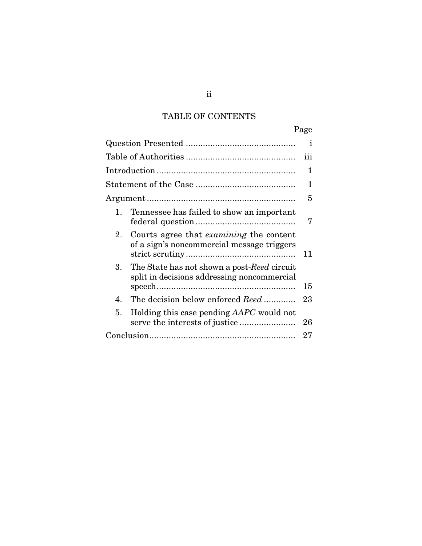# TABLE OF CONTENTS

|                                                                                                    | Page         |
|----------------------------------------------------------------------------------------------------|--------------|
|                                                                                                    | $\mathbf{I}$ |
|                                                                                                    | iii          |
|                                                                                                    | 1            |
|                                                                                                    | 1            |
|                                                                                                    | 5            |
| 1.<br>Tennessee has failed to show an important                                                    | 7            |
| Courts agree that <i>examining</i> the content<br>2.<br>of a sign's noncommercial message triggers | 11           |
| The State has not shown a post-Reed circuit<br>3.<br>split in decisions addressing noncommercial   | 15           |
| The decision below enforced Reed<br>$4_{\scriptscriptstyle{\perp}}$                                | 23           |
| Holding this case pending AAPC would not<br>5.                                                     | 26           |
|                                                                                                    | 27           |

### ii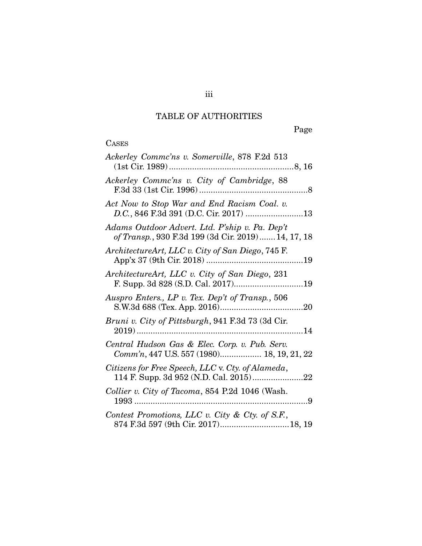# TABLE OF AUTHORITIES

# **CASES**

| Ackerley Commc'ns v. Somerville, 878 F.2d 513                                                        |
|------------------------------------------------------------------------------------------------------|
| Ackerley Commc'ns v. City of Cambridge, 88                                                           |
| Act Now to Stop War and End Racism Coal. v.                                                          |
| Adams Outdoor Advert. Ltd. P'ship v. Pa. Dep't<br>of Transp., 930 F.3d 199 (3d Cir. 2019) 14, 17, 18 |
| ArchitectureArt, LLC v. City of San Diego, 745 F.                                                    |
| ArchitectureArt, LLC v. City of San Diego, 231                                                       |
| Auspro Enters., LP v. Tex. Dep't of Transp., 506                                                     |
| Bruni v. City of Pittsburgh, 941 F.3d 73 (3d Cir.                                                    |
| Central Hudson Gas & Elec. Corp. v. Pub. Serv.<br>Comm'n, 447 U.S. 557 (1980) 18, 19, 21, 22         |
| Citizens for Free Speech, LLC v. Cty. of Alameda,                                                    |
| Collier v. City of Tacoma, 854 P.2d 1046 (Wash.                                                      |
| Contest Promotions, LLC v. City & Cty. of S.F.,<br>874 F.3d 597 (9th Cir. 2017) 18, 19               |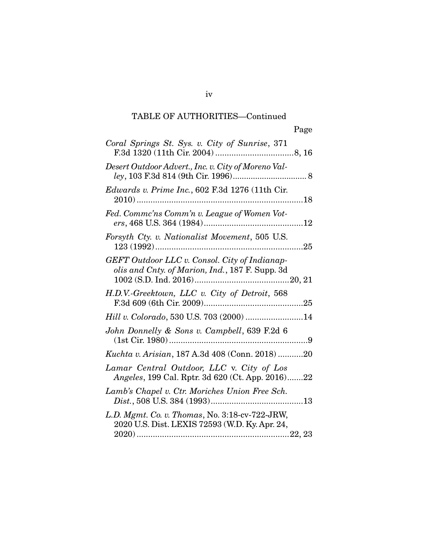| Coral Springs St. Sys. v. City of Sunrise, 371                                                            |
|-----------------------------------------------------------------------------------------------------------|
| Desert Outdoor Advert., Inc. v. City of Moreno Val-                                                       |
| Edwards v. Prime Inc., 602 F.3d 1276 (11th Cir.                                                           |
| Fed. Commc'ns Comm'n v. League of Women Vot-                                                              |
| Forsyth Cty. v. Nationalist Movement, 505 U.S.                                                            |
| GEFT Outdoor LLC v. Consol. City of Indianap-<br>olis and Cnty. of Marion, Ind., 187 F. Supp. 3d          |
| H.D.V.-Greektown, LLC v. City of Detroit, 568                                                             |
| Hill v. Colorado, 530 U.S. 703 (2000) 14                                                                  |
| John Donnelly & Sons v. Campbell, 639 F.2d 6                                                              |
| Kuchta v. Arisian, 187 A.3d 408 (Conn. 2018)20                                                            |
| Lamar Central Outdoor, LLC v. City of Los<br>Angeles, 199 Cal. Rptr. 3d 620 (Ct. App. 2016)22             |
| Lamb's Chapel v. Ctr. Moriches Union Free Sch.                                                            |
| L.D. Mgmt. Co. v. Thomas, No. 3:18-cv-722-JRW,<br>2020 U.S. Dist. LEXIS 72593 (W.D. Ky. Apr. 24,<br>22.23 |

iv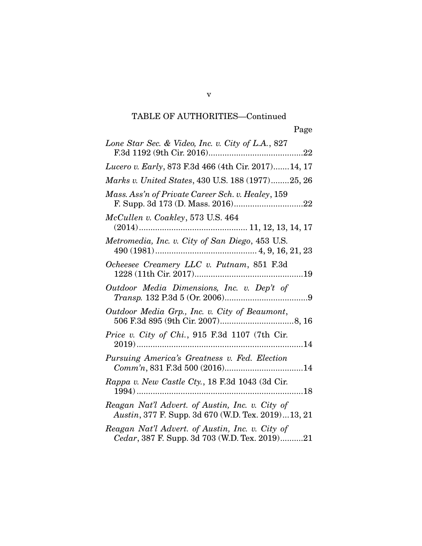| Lone Star Sec. & Video, Inc. v. City of L.A., 827                                                     |
|-------------------------------------------------------------------------------------------------------|
| Lucero v. Early, 873 F.3d 466 (4th Cir. 2017) 14, 17                                                  |
| Marks v. United States, 430 U.S. 188 (1977)25, 26                                                     |
| Mass. Ass'n of Private Career Sch. v. Healey, 159                                                     |
| McCullen v. Coakley, 573 U.S. 464                                                                     |
| Metromedia, Inc. v. City of San Diego, 453 U.S.                                                       |
| Ocheesee Creamery LLC v. Putnam, 851 F.3d                                                             |
| Outdoor Media Dimensions, Inc. v. Dep't of                                                            |
| Outdoor Media Grp., Inc. v. City of Beaumont,                                                         |
|                                                                                                       |
| Pursuing America's Greatness v. Fed. Election                                                         |
| Rappa v. New Castle Cty., 18 F.3d 1043 (3d Cir.                                                       |
| Reagan Nat'l Advert. of Austin, Inc. v. City of<br>Austin, 377 F. Supp. 3d 670 (W.D. Tex. 2019)13, 21 |
| Reagan Nat'l Advert. of Austin, Inc. v. City of<br>Cedar, 387 F. Supp. 3d 703 (W.D. Tex. 2019)21      |

v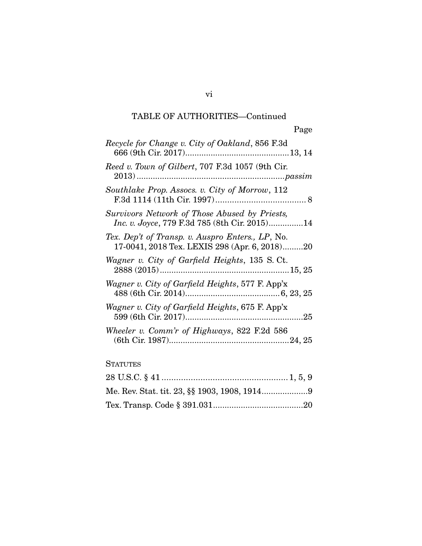| Recycle for Change v. City of Oakland, 856 F.3d                                                   |
|---------------------------------------------------------------------------------------------------|
| Reed v. Town of Gilbert, 707 F.3d 1057 (9th Cir.                                                  |
| Southlake Prop. Assocs. v. City of Morrow, 112                                                    |
| Survivors Network of Those Abused by Priests,<br>Inc. v. Joyce, 779 F.3d 785 (8th Cir. 2015)14    |
| Tex. Dep't of Transp. v. Auspro Enters., LP, No.<br>17-0041, 2018 Tex. LEXIS 298 (Apr. 6, 2018)20 |
| Wagner v. City of Garfield Heights, 135 S. Ct.                                                    |
| Wagner v. City of Garfield Heights, 577 F. App'x                                                  |
| Wagner v. City of Garfield Heights, 675 F. App'x                                                  |
| Wheeler v. Comm'r of Highways, 822 F.2d 586                                                       |
|                                                                                                   |

### **STATUTES**

vi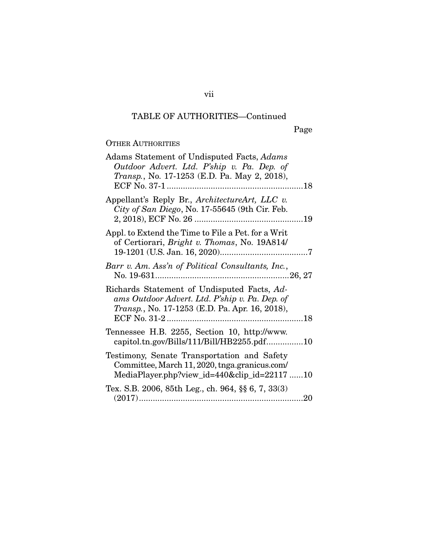Page

## OTHER AUTHORITIES

| Adams Statement of Undisputed Facts, Adams<br>Outdoor Advert. Ltd. P'ship v. Pa. Dep. of<br>Transp., No. 17-1253 (E.D. Pa. May 2, 2018),                |
|---------------------------------------------------------------------------------------------------------------------------------------------------------|
| Appellant's Reply Br., ArchitectureArt, LLC v.<br>City of San Diego, No. 17-55645 (9th Cir. Feb.                                                        |
| Appl. to Extend the Time to File a Pet. for a Writ<br>of Certiorari, Bright v. Thomas, No. 19A814/                                                      |
| Barr v. Am. Ass'n of Political Consultants, Inc.,                                                                                                       |
| Richards Statement of Undisputed Facts, Ad-<br>ams Outdoor Advert. Ltd. P'ship v. Pa. Dep. of<br><i>Transp.</i> , No. 17-1253 (E.D. Pa. Apr. 16, 2018), |
| Tennessee H.B. 2255, Section 10, http://www.<br>capitol.tn.gov/Bills/111/Bill/HB2255.pdf10                                                              |
| Testimony, Senate Transportation and Safety<br>Committee, March 11, 2020, tnga.granicus.com/<br>MediaPlayer.php?view_id=440&clip_id=22117 10            |
| Tex. S.B. 2006, 85th Leg., ch. 964, §§ 6, 7, 33(3)                                                                                                      |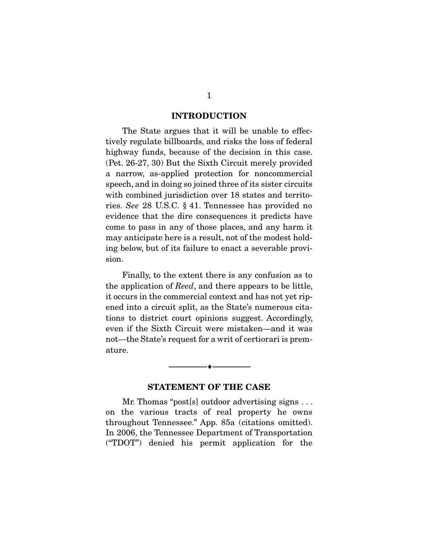#### **INTRODUCTION**

 The State argues that it will be unable to effectively regulate billboards, and risks the loss of federal highway funds, because of the decision in this case. (Pet. 26-27, 30) But the Sixth Circuit merely provided a narrow, as-applied protection for noncommercial speech, and in doing so joined three of its sister circuits with combined jurisdiction over 18 states and territories. See 28 U.S.C. § 41. Tennessee has provided no evidence that the dire consequences it predicts have come to pass in any of those places, and any harm it may anticipate here is a result, not of the modest holding below, but of its failure to enact a severable provision.

 Finally, to the extent there is any confusion as to the application of Reed, and there appears to be little, it occurs in the commercial context and has not yet ripened into a circuit split, as the State's numerous citations to district court opinions suggest. Accordingly, even if the Sixth Circuit were mistaken—and it was not—the State's request for a writ of certiorari is premature.

#### **STATEMENT OF THE CASE**

--------------------------------- ♦ ---------------------------------

 Mr. Thomas "post[s] outdoor advertising signs . . . on the various tracts of real property he owns throughout Tennessee." App. 85a (citations omitted). In 2006, the Tennessee Department of Transportation ("TDOT") denied his permit application for the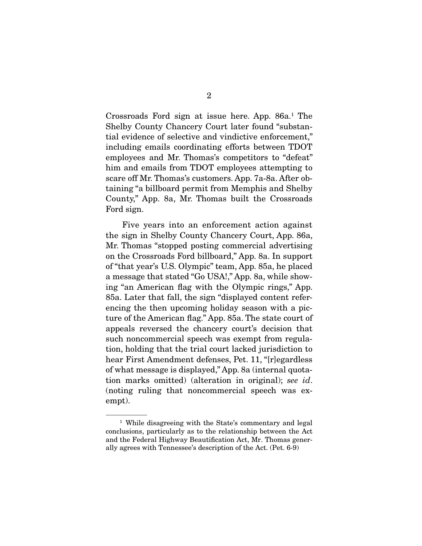Crossroads Ford sign at issue here. App. 86a.1 The Shelby County Chancery Court later found "substantial evidence of selective and vindictive enforcement," including emails coordinating efforts between TDOT employees and Mr. Thomas's competitors to "defeat" him and emails from TDOT employees attempting to scare off Mr. Thomas's customers. App. 7a-8a. After obtaining "a billboard permit from Memphis and Shelby County," App. 8a, Mr. Thomas built the Crossroads Ford sign.

 Five years into an enforcement action against the sign in Shelby County Chancery Court, App. 86a, Mr. Thomas "stopped posting commercial advertising on the Crossroads Ford billboard," App. 8a. In support of "that year's U.S. Olympic" team, App. 85a, he placed a message that stated "Go USA!," App. 8a, while showing "an American flag with the Olympic rings," App. 85a. Later that fall, the sign "displayed content referencing the then upcoming holiday season with a picture of the American flag." App. 85a. The state court of appeals reversed the chancery court's decision that such noncommercial speech was exempt from regulation, holding that the trial court lacked jurisdiction to hear First Amendment defenses, Pet. 11, "[r]egardless of what message is displayed," App. 8a (internal quotation marks omitted) (alteration in original); see id. (noting ruling that noncommercial speech was exempt).

<sup>&</sup>lt;sup>1</sup> While disagreeing with the State's commentary and legal conclusions, particularly as to the relationship between the Act and the Federal Highway Beautification Act, Mr. Thomas generally agrees with Tennessee's description of the Act. (Pet. 6-9)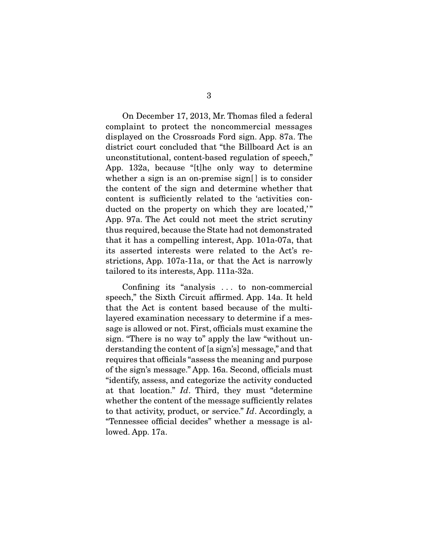On December 17, 2013, Mr. Thomas filed a federal complaint to protect the noncommercial messages displayed on the Crossroads Ford sign. App. 87a. The district court concluded that "the Billboard Act is an unconstitutional, content-based regulation of speech," App. 132a, because "[t]he only way to determine whether a sign is an on-premise sign[] is to consider the content of the sign and determine whether that content is sufficiently related to the 'activities conducted on the property on which they are located," App. 97a. The Act could not meet the strict scrutiny thus required, because the State had not demonstrated that it has a compelling interest, App. 101a-07a, that its asserted interests were related to the Act's restrictions, App. 107a-11a, or that the Act is narrowly tailored to its interests, App. 111a-32a.

 Confining its "analysis . . . to non-commercial speech," the Sixth Circuit affirmed. App. 14a. It held that the Act is content based because of the multilayered examination necessary to determine if a message is allowed or not. First, officials must examine the sign. "There is no way to" apply the law "without understanding the content of [a sign's] message," and that requires that officials "assess the meaning and purpose of the sign's message." App. 16a. Second, officials must "identify, assess, and categorize the activity conducted at that location." Id. Third, they must "determine" whether the content of the message sufficiently relates to that activity, product, or service." Id. Accordingly, a "Tennessee official decides" whether a message is allowed. App. 17a.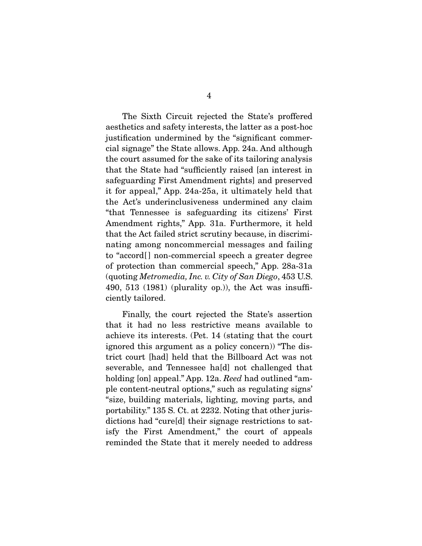The Sixth Circuit rejected the State's proffered aesthetics and safety interests, the latter as a post-hoc justification undermined by the "significant commercial signage" the State allows. App. 24a. And although the court assumed for the sake of its tailoring analysis that the State had "sufficiently raised [an interest in safeguarding First Amendment rights] and preserved it for appeal," App. 24a-25a, it ultimately held that the Act's underinclusiveness undermined any claim "that Tennessee is safeguarding its citizens' First Amendment rights," App. 31a. Furthermore, it held that the Act failed strict scrutiny because, in discriminating among noncommercial messages and failing to "accord<sup>[]</sup> non-commercial speech a greater degree of protection than commercial speech," App. 28a-31a (quoting Metromedia, Inc. v. City of San Diego, 453 U.S. 490, 513 (1981) (plurality op.)), the Act was insufficiently tailored.

 Finally, the court rejected the State's assertion that it had no less restrictive means available to achieve its interests. (Pet. 14 (stating that the court ignored this argument as a policy concern)) "The district court [had] held that the Billboard Act was not severable, and Tennessee ha[d] not challenged that holding [on] appeal." App. 12a. Reed had outlined "ample content-neutral options," such as regulating signs' "size, building materials, lighting, moving parts, and portability." 135 S. Ct. at 2232. Noting that other jurisdictions had "cure[d] their signage restrictions to satisfy the First Amendment," the court of appeals reminded the State that it merely needed to address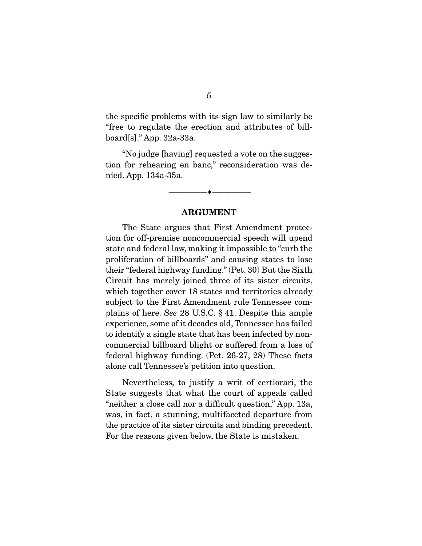the specific problems with its sign law to similarly be "free to regulate the erection and attributes of billboard[s]." App. 32a-33a.

 "No judge [having] requested a vote on the suggestion for rehearing en banc," reconsideration was denied. App. 134a-35a.

#### **ARGUMENT**

--------------------------------- ♦ ---------------------------------

 The State argues that First Amendment protection for off-premise noncommercial speech will upend state and federal law, making it impossible to "curb the proliferation of billboards" and causing states to lose their "federal highway funding." (Pet. 30) But the Sixth Circuit has merely joined three of its sister circuits, which together cover 18 states and territories already subject to the First Amendment rule Tennessee complains of here. See 28 U.S.C. § 41. Despite this ample experience, some of it decades old, Tennessee has failed to identify a single state that has been infected by noncommercial billboard blight or suffered from a loss of federal highway funding. (Pet. 26-27, 28) These facts alone call Tennessee's petition into question.

 Nevertheless, to justify a writ of certiorari, the State suggests that what the court of appeals called "neither a close call nor a difficult question," App. 13a, was, in fact, a stunning, multifaceted departure from the practice of its sister circuits and binding precedent. For the reasons given below, the State is mistaken.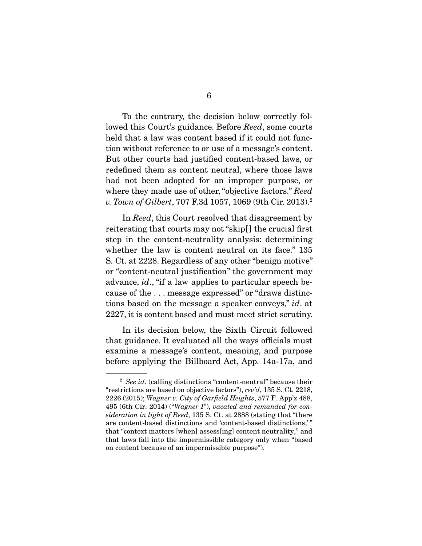To the contrary, the decision below correctly followed this Court's guidance. Before Reed, some courts held that a law was content based if it could not function without reference to or use of a message's content. But other courts had justified content-based laws, or redefined them as content neutral, where those laws had not been adopted for an improper purpose, or where they made use of other, "objective factors." Reed v. Town of Gilbert, 707 F.3d 1057, 1069 (9th Cir. 2013).<sup>2</sup>

In Reed, this Court resolved that disagreement by reiterating that courts may not "skip[ ] the crucial first step in the content-neutrality analysis: determining whether the law is content neutral on its face." 135 S. Ct. at 2228. Regardless of any other "benign motive" or "content-neutral justification" the government may advance, id., "if a law applies to particular speech because of the . . . message expressed" or "draws distinctions based on the message a speaker conveys," id. at 2227, it is content based and must meet strict scrutiny.

 In its decision below, the Sixth Circuit followed that guidance. It evaluated all the ways officials must examine a message's content, meaning, and purpose before applying the Billboard Act, App. 14a-17a, and

 $2$  See id. (calling distinctions "content-neutral" because their "restrictions are based on objective factors"), rev'd, 135 S. Ct. 2218, 2226 (2015); Wagner v. City of Garfield Heights, 577 F. App'x 488, 495 (6th Cir. 2014) ("Wagner I"), vacated and remanded for consideration in light of Reed, 135 S. Ct. at 2888 (stating that "there are content-based distinctions and 'content-based distinctions,' " that "context matters [when] assess[ing] content neutrality," and that laws fall into the impermissible category only when "based on content because of an impermissible purpose").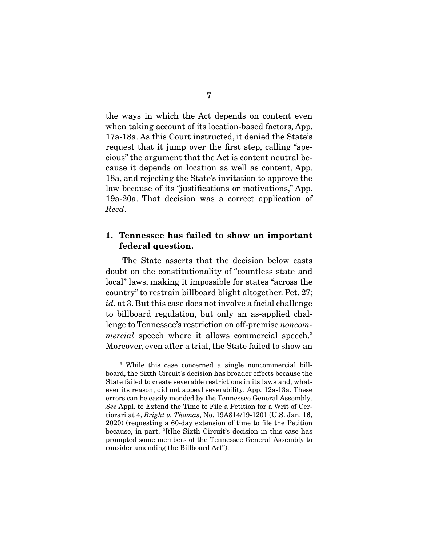the ways in which the Act depends on content even when taking account of its location-based factors, App. 17a-18a. As this Court instructed, it denied the State's request that it jump over the first step, calling "specious" the argument that the Act is content neutral because it depends on location as well as content, App. 18a, and rejecting the State's invitation to approve the law because of its "justifications or motivations," App. 19a-20a. That decision was a correct application of Reed.

### **1. Tennessee has failed to show an important federal question.**

 The State asserts that the decision below casts doubt on the constitutionality of "countless state and local" laws, making it impossible for states "across the country" to restrain billboard blight altogether. Pet. 27; id. at 3. But this case does not involve a facial challenge to billboard regulation, but only an as-applied challenge to Tennessee's restriction on off-premise noncommercial speech where it allows commercial speech.<sup>3</sup> Moreover, even after a trial, the State failed to show an

<sup>3</sup> While this case concerned a single noncommercial billboard, the Sixth Circuit's decision has broader effects because the State failed to create severable restrictions in its laws and, whatever its reason, did not appeal severability. App. 12a-13a. These errors can be easily mended by the Tennessee General Assembly. See Appl. to Extend the Time to File a Petition for a Writ of Certiorari at 4, Bright v. Thomas, No. 19A814/19-1201 (U.S. Jan. 16, 2020) (requesting a 60-day extension of time to file the Petition because, in part, "[t]he Sixth Circuit's decision in this case has prompted some members of the Tennessee General Assembly to consider amending the Billboard Act").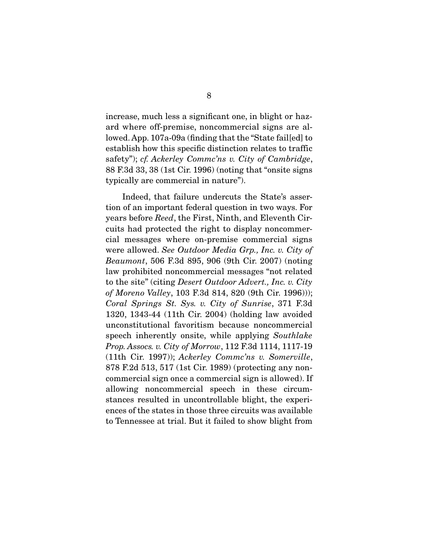increase, much less a significant one, in blight or hazard where off-premise, noncommercial signs are allowed. App. 107a-09a (finding that the "State fail[ed] to establish how this specific distinction relates to traffic safety"); cf. Ackerley Commc'ns v. City of Cambridge, 88 F.3d 33, 38 (1st Cir. 1996) (noting that "onsite signs typically are commercial in nature").

 Indeed, that failure undercuts the State's assertion of an important federal question in two ways. For years before Reed, the First, Ninth, and Eleventh Circuits had protected the right to display noncommercial messages where on-premise commercial signs were allowed. See Outdoor Media Grp., Inc. v. City of Beaumont, 506 F.3d 895, 906 (9th Cir. 2007) (noting law prohibited noncommercial messages "not related to the site" (citing Desert Outdoor Advert., Inc. v. City of Moreno Valley, 103 F.3d 814, 820 (9th Cir. 1996))); Coral Springs St. Sys. v. City of Sunrise, 371 F.3d 1320, 1343-44 (11th Cir. 2004) (holding law avoided unconstitutional favoritism because noncommercial speech inherently onsite, while applying Southlake Prop. Assocs. v. City of Morrow, 112 F.3d 1114, 1117-19 (11th Cir. 1997)); Ackerley Commc'ns v. Somerville, 878 F.2d 513, 517 (1st Cir. 1989) (protecting any noncommercial sign once a commercial sign is allowed). If allowing noncommercial speech in these circumstances resulted in uncontrollable blight, the experiences of the states in those three circuits was available to Tennessee at trial. But it failed to show blight from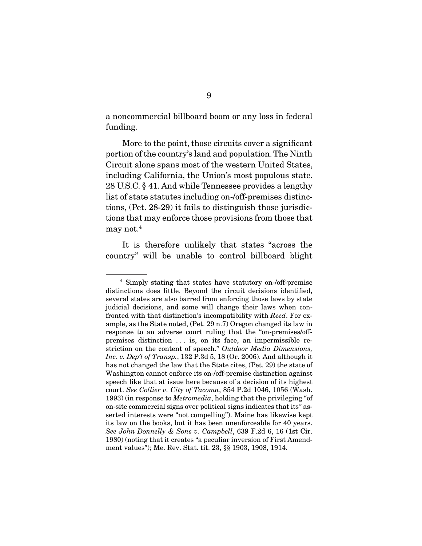a noncommercial billboard boom or any loss in federal funding.

 More to the point, those circuits cover a significant portion of the country's land and population. The Ninth Circuit alone spans most of the western United States, including California, the Union's most populous state. 28 U.S.C. § 41. And while Tennessee provides a lengthy list of state statutes including on-/off-premises distinctions, (Pet. 28-29) it fails to distinguish those jurisdictions that may enforce those provisions from those that may not.<sup>4</sup>

 It is therefore unlikely that states "across the country" will be unable to control billboard blight

<sup>4</sup> Simply stating that states have statutory on-/off-premise distinctions does little. Beyond the circuit decisions identified, several states are also barred from enforcing those laws by state judicial decisions, and some will change their laws when confronted with that distinction's incompatibility with Reed. For example, as the State noted, (Pet. 29 n.7) Oregon changed its law in response to an adverse court ruling that the "on-premises/offpremises distinction . . . is, on its face, an impermissible restriction on the content of speech." Outdoor Media Dimensions, Inc. v. Dep't of Transp., 132 P.3d 5, 18 (Or. 2006). And although it has not changed the law that the State cites, (Pet. 29) the state of Washington cannot enforce its on-/off-premise distinction against speech like that at issue here because of a decision of its highest court. See Collier v. City of Tacoma, 854 P.2d 1046, 1056 (Wash. 1993) (in response to Metromedia, holding that the privileging "of on-site commercial signs over political signs indicates that its" asserted interests were "not compelling"). Maine has likewise kept its law on the books, but it has been unenforceable for 40 years. See John Donnelly & Sons v. Campbell, 639 F.2d 6, 16 (1st Cir. 1980) (noting that it creates "a peculiar inversion of First Amendment values"); Me. Rev. Stat. tit. 23, §§ 1903, 1908, 1914.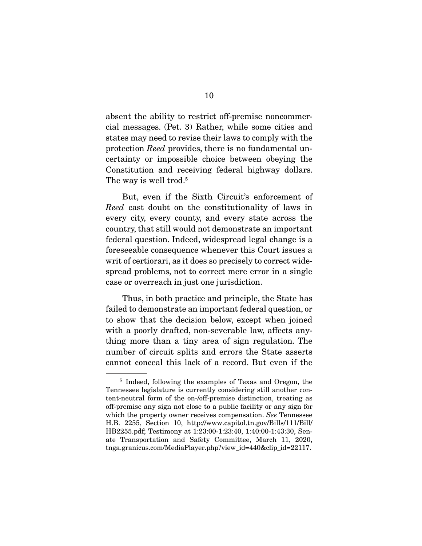absent the ability to restrict off-premise noncommercial messages. (Pet. 3) Rather, while some cities and states may need to revise their laws to comply with the protection Reed provides, there is no fundamental uncertainty or impossible choice between obeying the Constitution and receiving federal highway dollars. The way is well trod.<sup>5</sup>

 But, even if the Sixth Circuit's enforcement of Reed cast doubt on the constitutionality of laws in every city, every county, and every state across the country, that still would not demonstrate an important federal question. Indeed, widespread legal change is a foreseeable consequence whenever this Court issues a writ of certiorari, as it does so precisely to correct widespread problems, not to correct mere error in a single case or overreach in just one jurisdiction.

 Thus, in both practice and principle, the State has failed to demonstrate an important federal question, or to show that the decision below, except when joined with a poorly drafted, non-severable law, affects anything more than a tiny area of sign regulation. The number of circuit splits and errors the State asserts cannot conceal this lack of a record. But even if the

<sup>5</sup> Indeed, following the examples of Texas and Oregon, the Tennessee legislature is currently considering still another content-neutral form of the on-/off-premise distinction, treating as off-premise any sign not close to a public facility or any sign for which the property owner receives compensation. See Tennessee H.B. 2255, Section 10, http://www.capitol.tn.gov/Bills/111/Bill/ HB2255.pdf; Testimony at 1:23:00-1:23:40, 1:40:00-1:43:30, Senate Transportation and Safety Committee, March 11, 2020, tnga.granicus.com/MediaPlayer.php?view\_id=440&clip\_id=22117.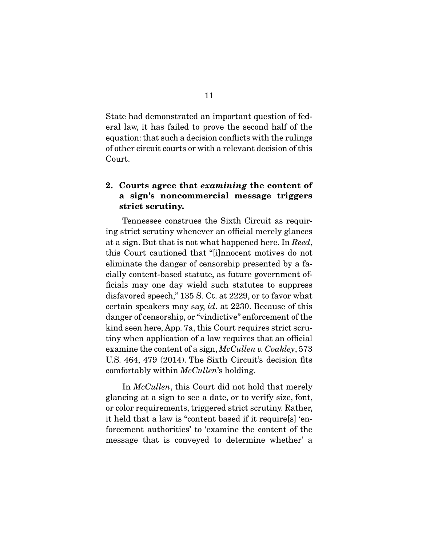State had demonstrated an important question of federal law, it has failed to prove the second half of the equation: that such a decision conflicts with the rulings of other circuit courts or with a relevant decision of this Court.

### **2. Courts agree that** *examining* **the content of a sign's noncommercial message triggers strict scrutiny.**

 Tennessee construes the Sixth Circuit as requiring strict scrutiny whenever an official merely glances at a sign. But that is not what happened here. In Reed, this Court cautioned that "[i]nnocent motives do not eliminate the danger of censorship presented by a facially content-based statute, as future government officials may one day wield such statutes to suppress disfavored speech," 135 S. Ct. at 2229, or to favor what certain speakers may say, id. at 2230. Because of this danger of censorship, or "vindictive" enforcement of the kind seen here, App. 7a, this Court requires strict scrutiny when application of a law requires that an official examine the content of a sign, McCullen v. Coakley, 573 U.S. 464, 479 (2014). The Sixth Circuit's decision fits comfortably within *McCullen's* holding.

In *McCullen*, this Court did not hold that merely glancing at a sign to see a date, or to verify size, font, or color requirements, triggered strict scrutiny. Rather, it held that a law is "content based if it require[s] 'enforcement authorities' to 'examine the content of the message that is conveyed to determine whether' a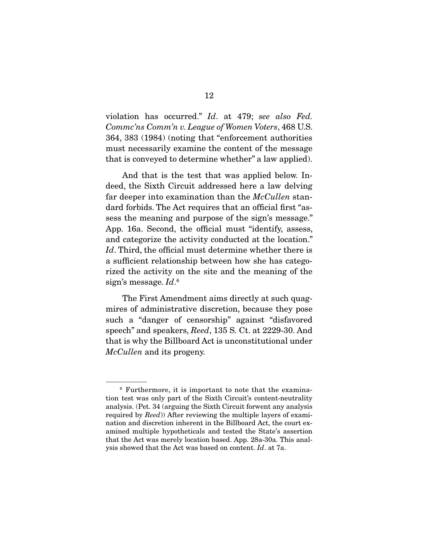violation has occurred." Id. at 479; see also Fed. Commc'ns Comm'n v. League of Women Voters, 468 U.S. 364, 383 (1984) (noting that "enforcement authorities must necessarily examine the content of the message that is conveyed to determine whether" a law applied).

 And that is the test that was applied below. Indeed, the Sixth Circuit addressed here a law delving far deeper into examination than the  $McCullen$  standard forbids. The Act requires that an official first "assess the meaning and purpose of the sign's message." App. 16a. Second, the official must "identify, assess, and categorize the activity conducted at the location." Id. Third, the official must determine whether there is a sufficient relationship between how she has categorized the activity on the site and the meaning of the sign's message. Id.<sup>6</sup>

 The First Amendment aims directly at such quagmires of administrative discretion, because they pose such a "danger of censorship" against "disfavored speech" and speakers, Reed, 135 S. Ct. at 2229-30. And that is why the Billboard Act is unconstitutional under McCullen and its progeny.

<sup>6</sup> Furthermore, it is important to note that the examination test was only part of the Sixth Circuit's content-neutrality analysis. (Pet. 34 (arguing the Sixth Circuit forwent any analysis required by Reed)) After reviewing the multiple layers of examination and discretion inherent in the Billboard Act, the court examined multiple hypotheticals and tested the State's assertion that the Act was merely location based. App. 28a-30a. This analysis showed that the Act was based on content. Id. at 7a.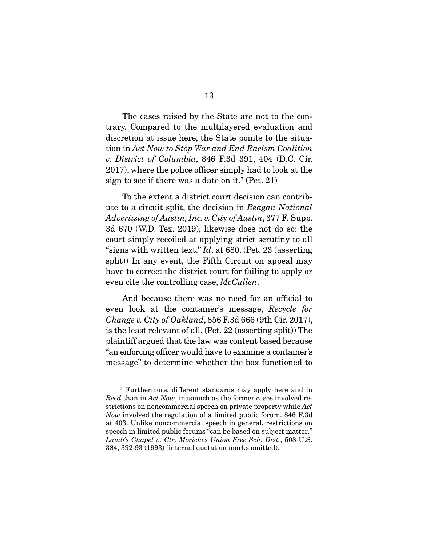The cases raised by the State are not to the contrary. Compared to the multilayered evaluation and discretion at issue here, the State points to the situation in Act Now to Stop War and End Racism Coalition v. District of Columbia, 846 F.3d 391, 404 (D.C. Cir. 2017), where the police officer simply had to look at the sign to see if there was a date on it.<sup>7</sup> (Pet. 21)

 To the extent a district court decision can contribute to a circuit split, the decision in Reagan National Advertising of Austin, Inc. v. City of Austin, 377 F. Supp. 3d 670 (W.D. Tex. 2019), likewise does not do so: the court simply recoiled at applying strict scrutiny to all "signs with written text."  $Id.$  at 680. (Pet. 23 (asserting split)) In any event, the Fifth Circuit on appeal may have to correct the district court for failing to apply or even cite the controlling case, McCullen.

 And because there was no need for an official to even look at the container's message, Recycle for Change v. City of Oakland, 856 F.3d 666 (9th Cir. 2017), is the least relevant of all. (Pet. 22 (asserting split)) The plaintiff argued that the law was content based because "an enforcing officer would have to examine a container's message" to determine whether the box functioned to

<sup>7</sup> Furthermore, different standards may apply here and in Reed than in Act Now, inasmuch as the former cases involved restrictions on noncommercial speech on private property while Act Now involved the regulation of a limited public forum. 846 F.3d at 403. Unlike noncommercial speech in general, restrictions on speech in limited public forums "can be based on subject matter." Lamb's Chapel v. Ctr. Moriches Union Free Sch. Dist., 508 U.S. 384, 392-93 (1993) (internal quotation marks omitted).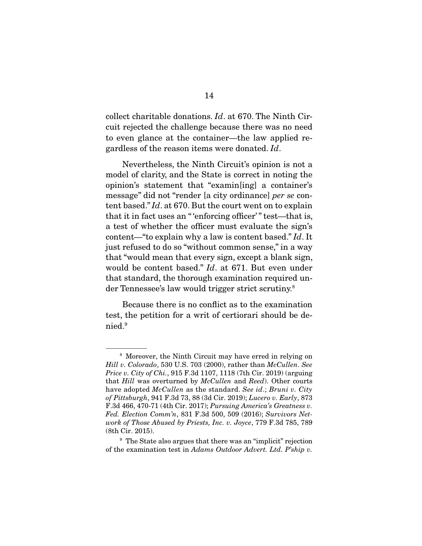collect charitable donations. Id. at 670. The Ninth Circuit rejected the challenge because there was no need to even glance at the container—the law applied regardless of the reason items were donated. Id.

 Nevertheless, the Ninth Circuit's opinion is not a model of clarity, and the State is correct in noting the opinion's statement that "examin[ing] a container's message" did not "render [a city ordinance] per se content based." Id. at 670. But the court went on to explain that it in fact uses an " 'enforcing officer' " test—that is, a test of whether the officer must evaluate the sign's content—"to explain why a law is content based." Id. It just refused to do so "without common sense," in a way that "would mean that every sign, except a blank sign, would be content based." Id. at 671. But even under that standard, the thorough examination required under Tennessee's law would trigger strict scrutiny.8

 Because there is no conflict as to the examination test, the petition for a writ of certiorari should be denied.9

<sup>8</sup> Moreover, the Ninth Circuit may have erred in relying on Hill v. Colorado, 530 U.S. 703 (2000), rather than McCullen. See *Price v. City of Chi.*, 915 F.3d 1107, 1118 (7th Cir. 2019) (arguing that Hill was overturned by McCullen and Reed). Other courts have adopted McCullen as the standard. See id.; Bruni v. City of Pittsburgh, 941 F.3d 73, 88 (3d Cir. 2019); Lucero v. Early, 873 F.3d 466, 470-71 (4th Cir. 2017); Pursuing America's Greatness v. Fed. Election Comm'n, 831 F.3d 500, 509 (2016); Survivors Network of Those Abused by Priests, Inc. v. Joyce, 779 F.3d 785, 789 (8th Cir. 2015).

<sup>&</sup>lt;sup>9</sup> The State also argues that there was an "implicit" rejection of the examination test in Adams Outdoor Advert. Ltd. P'ship v.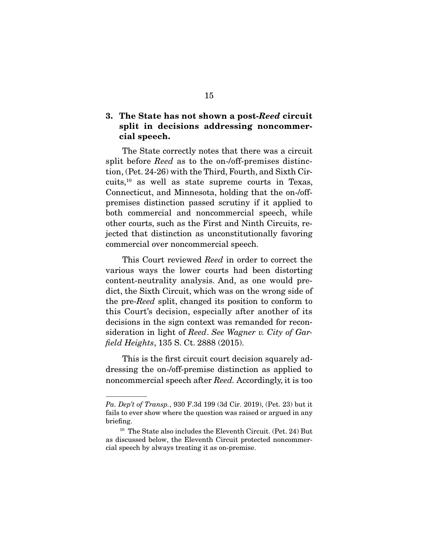### **3. The State has not shown a post-***Reed* **circuit split in decisions addressing noncommercial speech.**

 The State correctly notes that there was a circuit split before *Reed* as to the on-/off-premises distinction, (Pet. 24-26) with the Third, Fourth, and Sixth Circuits, $10$  as well as state supreme courts in Texas, Connecticut, and Minnesota, holding that the on-/offpremises distinction passed scrutiny if it applied to both commercial and noncommercial speech, while other courts, such as the First and Ninth Circuits, rejected that distinction as unconstitutionally favoring commercial over noncommercial speech.

 This Court reviewed Reed in order to correct the various ways the lower courts had been distorting content-neutrality analysis. And, as one would predict, the Sixth Circuit, which was on the wrong side of the pre-Reed split, changed its position to conform to this Court's decision, especially after another of its decisions in the sign context was remanded for reconsideration in light of Reed. See Wagner v. City of Garfield Heights, 135 S. Ct. 2888 (2015).

 This is the first circuit court decision squarely addressing the on-/off-premise distinction as applied to noncommercial speech after Reed. Accordingly, it is too

Pa. Dep't of Transp., 930 F.3d 199 (3d Cir. 2019), (Pet. 23) but it fails to ever show where the question was raised or argued in any briefing.

<sup>10</sup> The State also includes the Eleventh Circuit. (Pet. 24) But as discussed below, the Eleventh Circuit protected noncommercial speech by always treating it as on-premise.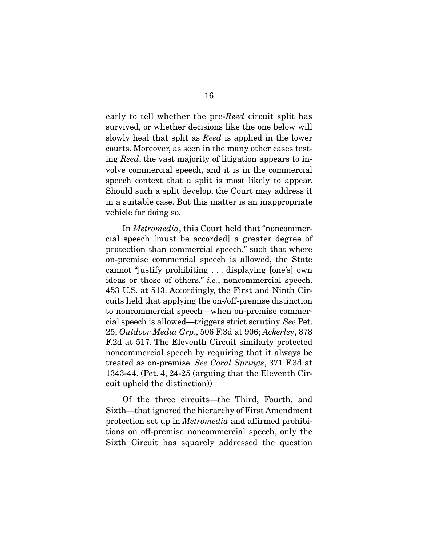early to tell whether the pre-Reed circuit split has survived, or whether decisions like the one below will slowly heal that split as Reed is applied in the lower courts. Moreover, as seen in the many other cases testing Reed, the vast majority of litigation appears to involve commercial speech, and it is in the commercial speech context that a split is most likely to appear. Should such a split develop, the Court may address it in a suitable case. But this matter is an inappropriate vehicle for doing so.

 In Metromedia, this Court held that "noncommercial speech [must be accorded] a greater degree of protection than commercial speech," such that where on-premise commercial speech is allowed, the State cannot "justify prohibiting . . . displaying [one's] own ideas or those of others," i.e., noncommercial speech. 453 U.S. at 513. Accordingly, the First and Ninth Circuits held that applying the on-/off-premise distinction to noncommercial speech—when on-premise commercial speech is allowed—triggers strict scrutiny. See Pet. 25; Outdoor Media Grp., 506 F.3d at 906; Ackerley, 878 F.2d at 517. The Eleventh Circuit similarly protected noncommercial speech by requiring that it always be treated as on-premise. See Coral Springs, 371 F.3d at 1343-44. (Pet. 4, 24-25 (arguing that the Eleventh Circuit upheld the distinction))

 Of the three circuits—the Third, Fourth, and Sixth—that ignored the hierarchy of First Amendment protection set up in Metromedia and affirmed prohibitions on off-premise noncommercial speech, only the Sixth Circuit has squarely addressed the question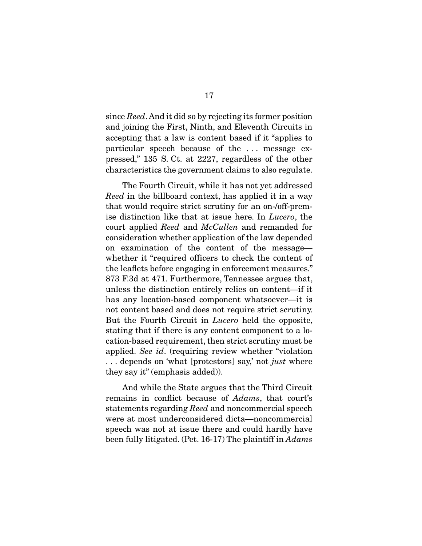since Reed. And it did so by rejecting its former position and joining the First, Ninth, and Eleventh Circuits in accepting that a law is content based if it "applies to particular speech because of the . . . message expressed," 135 S. Ct. at 2227, regardless of the other characteristics the government claims to also regulate.

 The Fourth Circuit, while it has not yet addressed Reed in the billboard context, has applied it in a way that would require strict scrutiny for an on-/off-premise distinction like that at issue here. In Lucero, the court applied Reed and McCullen and remanded for consideration whether application of the law depended on examination of the content of the message whether it "required officers to check the content of the leaflets before engaging in enforcement measures." 873 F.3d at 471. Furthermore, Tennessee argues that, unless the distinction entirely relies on content—if it has any location-based component whatsoever—it is not content based and does not require strict scrutiny. But the Fourth Circuit in Lucero held the opposite, stating that if there is any content component to a location-based requirement, then strict scrutiny must be applied. See id. (requiring review whether "violation ... depends on 'what [protestors] say,' not *just* where they say it" (emphasis added)).

 And while the State argues that the Third Circuit remains in conflict because of Adams, that court's statements regarding Reed and noncommercial speech were at most underconsidered dicta—noncommercial speech was not at issue there and could hardly have been fully litigated. (Pet. 16-17) The plaintiff in Adams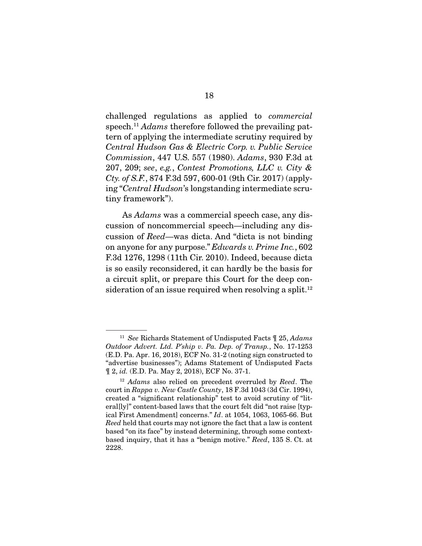challenged regulations as applied to commercial speech.<sup>11</sup> Adams therefore followed the prevailing pattern of applying the intermediate scrutiny required by Central Hudson Gas & Electric Corp. v. Public Service Commission, 447 U.S. 557 (1980). Adams, 930 F.3d at 207, 209; see, e.g., Contest Promotions, LLC v. City & Cty. of S.F., 874 F.3d 597, 600-01 (9th Cir. 2017) (applying "Central Hudson's longstanding intermediate scrutiny framework").

As Adams was a commercial speech case, any discussion of noncommercial speech—including any discussion of Reed—was dicta. And "dicta is not binding on anyone for any purpose." Edwards v. Prime Inc., 602 F.3d 1276, 1298 (11th Cir. 2010). Indeed, because dicta is so easily reconsidered, it can hardly be the basis for a circuit split, or prepare this Court for the deep consideration of an issue required when resolving a split.<sup>12</sup>

<sup>&</sup>lt;sup>11</sup> See Richards Statement of Undisputed Facts  $\P$  25, Adams Outdoor Advert. Ltd. P'ship v. Pa. Dep. of Transp., No. 17-1253 (E.D. Pa. Apr. 16, 2018), ECF No. 31-2 (noting sign constructed to "advertise businesses"); Adams Statement of Undisputed Facts ¶ 2, id. (E.D. Pa. May 2, 2018), ECF No. 37-1.

 $12$  Adams also relied on precedent overruled by Reed. The court in Rappa v. New Castle County, 18 F.3d 1043 (3d Cir. 1994), created a "significant relationship" test to avoid scrutiny of "literal[ly]" content-based laws that the court felt did "not raise [typical First Amendment] concerns." Id. at 1054, 1063, 1065-66. But Reed held that courts may not ignore the fact that a law is content based "on its face" by instead determining, through some contextbased inquiry, that it has a "benign motive." Reed, 135 S. Ct. at 2228.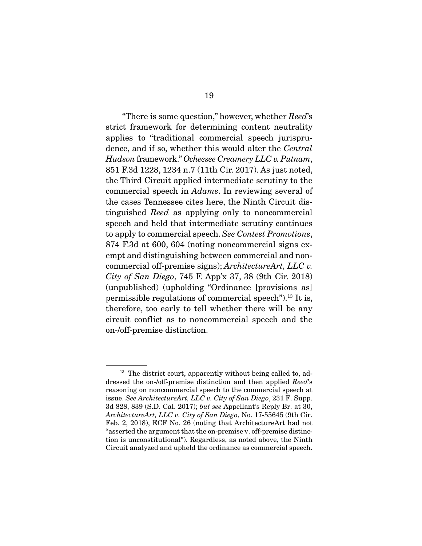"There is some question," however, whether Reed's strict framework for determining content neutrality applies to "traditional commercial speech jurisprudence, and if so, whether this would alter the Central Hudson framework." Ocheesee Creamery LLC v. Putnam, 851 F.3d 1228, 1234 n.7 (11th Cir. 2017). As just noted, the Third Circuit applied intermediate scrutiny to the commercial speech in Adams. In reviewing several of the cases Tennessee cites here, the Ninth Circuit distinguished Reed as applying only to noncommercial speech and held that intermediate scrutiny continues to apply to commercial speech. See Contest Promotions, 874 F.3d at 600, 604 (noting noncommercial signs exempt and distinguishing between commercial and noncommercial off-premise signs); ArchitectureArt, LLC v. City of San Diego, 745 F. App'x 37, 38 (9th Cir. 2018) (unpublished) (upholding "Ordinance [provisions as] permissible regulations of commercial speech").13 It is, therefore, too early to tell whether there will be any circuit conflict as to noncommercial speech and the on-/off-premise distinction.

<sup>&</sup>lt;sup>13</sup> The district court, apparently without being called to, addressed the on-/off-premise distinction and then applied Reed's reasoning on noncommercial speech to the commercial speech at issue. See ArchitectureArt, LLC v. City of San Diego, 231 F. Supp. 3d 828, 839 (S.D. Cal. 2017); but see Appellant's Reply Br. at 30, ArchitectureArt, LLC v. City of San Diego, No. 17-55645 (9th Cir. Feb. 2, 2018), ECF No. 26 (noting that ArchitectureArt had not "asserted the argument that the on-premise v. off-premise distinction is unconstitutional"). Regardless, as noted above, the Ninth Circuit analyzed and upheld the ordinance as commercial speech.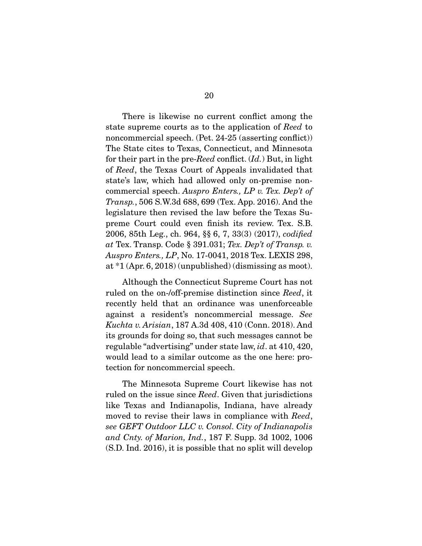There is likewise no current conflict among the state supreme courts as to the application of Reed to noncommercial speech. (Pet. 24-25 (asserting conflict)) The State cites to Texas, Connecticut, and Minnesota for their part in the pre-Reed conflict.  $(Id.)$  But, in light of Reed, the Texas Court of Appeals invalidated that state's law, which had allowed only on-premise noncommercial speech. Auspro Enters., LP v. Tex. Dep't of Transp., 506 S.W.3d 688, 699 (Tex. App. 2016). And the legislature then revised the law before the Texas Supreme Court could even finish its review. Tex. S.B. 2006, 85th Leg., ch. 964, §§ 6, 7, 33(3) (2017), codified at Tex. Transp. Code  $\S 391.031$ ; Tex. Dep't of Transp. v. Auspro Enters., LP, No. 17-0041, 2018 Tex. LEXIS 298, at \*1 (Apr. 6, 2018) (unpublished) (dismissing as moot).

 Although the Connecticut Supreme Court has not ruled on the on-/off-premise distinction since Reed, it recently held that an ordinance was unenforceable against a resident's noncommercial message. See Kuchta v. Arisian, 187 A.3d 408, 410 (Conn. 2018). And its grounds for doing so, that such messages cannot be regulable "advertising" under state law, id. at 410, 420, would lead to a similar outcome as the one here: protection for noncommercial speech.

 The Minnesota Supreme Court likewise has not ruled on the issue since Reed. Given that jurisdictions like Texas and Indianapolis, Indiana, have already moved to revise their laws in compliance with Reed, see GEFT Outdoor LLC v. Consol. City of Indianapolis and Cnty. of Marion, Ind., 187 F. Supp. 3d 1002, 1006 (S.D. Ind. 2016), it is possible that no split will develop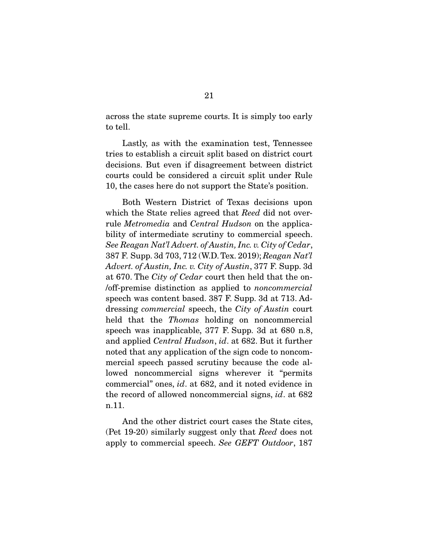across the state supreme courts. It is simply too early to tell.

 Lastly, as with the examination test, Tennessee tries to establish a circuit split based on district court decisions. But even if disagreement between district courts could be considered a circuit split under Rule 10, the cases here do not support the State's position.

 Both Western District of Texas decisions upon which the State relies agreed that Reed did not overrule *Metromedia* and *Central Hudson* on the applicability of intermediate scrutiny to commercial speech. See Reagan Nat'l Advert. of Austin, Inc. v. City of Cedar, 387 F. Supp. 3d 703, 712 (W.D. Tex. 2019); Reagan Nat'l Advert. of Austin, Inc. v. City of Austin, 377 F. Supp. 3d at 670. The City of Cedar court then held that the on- /off-premise distinction as applied to noncommercial speech was content based. 387 F. Supp. 3d at 713. Addressing commercial speech, the City of Austin court held that the *Thomas* holding on noncommercial speech was inapplicable, 377 F. Supp. 3d at 680 n.8, and applied Central Hudson, id. at 682. But it further noted that any application of the sign code to noncommercial speech passed scrutiny because the code allowed noncommercial signs wherever it "permits commercial" ones, id. at 682, and it noted evidence in the record of allowed noncommercial signs, id. at 682 n.11.

 And the other district court cases the State cites, (Pet 19-20) similarly suggest only that Reed does not apply to commercial speech. See GEFT Outdoor, 187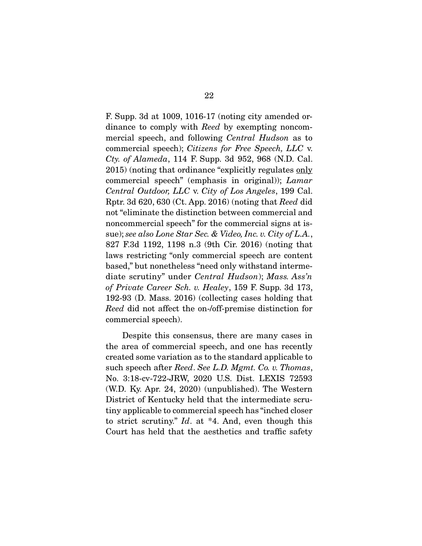F. Supp. 3d at 1009, 1016-17 (noting city amended ordinance to comply with Reed by exempting noncommercial speech, and following *Central Hudson* as to commercial speech); Citizens for Free Speech, LLC v. Cty. of Alameda, 114 F. Supp. 3d 952, 968 (N.D. Cal. 2015) (noting that ordinance "explicitly regulates only commercial speech" (emphasis in original)); Lamar Central Outdoor, LLC v. City of Los Angeles, 199 Cal. Rptr. 3d 620, 630 (Ct. App. 2016) (noting that Reed did not "eliminate the distinction between commercial and noncommercial speech" for the commercial signs at issue); see also Lone Star Sec. & Video, Inc. v. City of L.A., 827 F.3d 1192, 1198 n.3 (9th Cir. 2016) (noting that laws restricting "only commercial speech are content based," but nonetheless "need only withstand intermediate scrutiny" under Central Hudson); Mass. Ass'n of Private Career Sch. v. Healey, 159 F. Supp. 3d 173, 192-93 (D. Mass. 2016) (collecting cases holding that Reed did not affect the on-/off-premise distinction for commercial speech).

 Despite this consensus, there are many cases in the area of commercial speech, and one has recently created some variation as to the standard applicable to such speech after Reed. See L.D. Mgmt. Co. v. Thomas, No. 3:18-cv-722-JRW, 2020 U.S. Dist. LEXIS 72593 (W.D. Ky. Apr. 24, 2020) (unpublished). The Western District of Kentucky held that the intermediate scrutiny applicable to commercial speech has "inched closer to strict scrutiny."  $Id.$  at  $*4.$  And, even though this Court has held that the aesthetics and traffic safety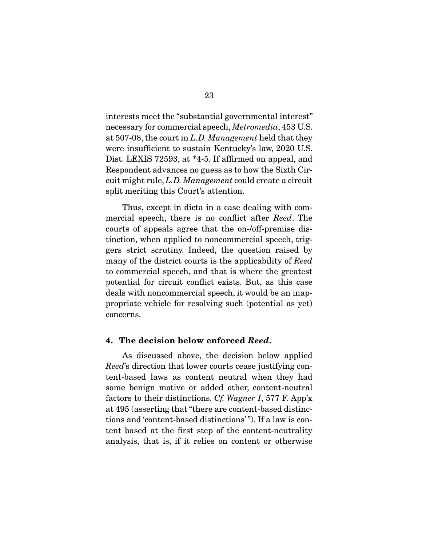interests meet the "substantial governmental interest" necessary for commercial speech, Metromedia, 453 U.S. at 507-08, the court in L.D. Management held that they were insufficient to sustain Kentucky's law, 2020 U.S. Dist. LEXIS 72593, at \*4-5. If affirmed on appeal, and Respondent advances no guess as to how the Sixth Circuit might rule, L.D. Management could create a circuit split meriting this Court's attention.

 Thus, except in dicta in a case dealing with commercial speech, there is no conflict after Reed. The courts of appeals agree that the on-/off-premise distinction, when applied to noncommercial speech, triggers strict scrutiny. Indeed, the question raised by many of the district courts is the applicability of Reed to commercial speech, and that is where the greatest potential for circuit conflict exists. But, as this case deals with noncommercial speech, it would be an inappropriate vehicle for resolving such (potential as yet) concerns.

#### **4. The decision below enforced** *Reed***.**

 As discussed above, the decision below applied Reed's direction that lower courts cease justifying content-based laws as content neutral when they had some benign motive or added other, content-neutral factors to their distinctions. Cf. Wagner I, 577 F. App'x at 495 (asserting that "there are content-based distinctions and 'content-based distinctions' "). If a law is content based at the first step of the content-neutrality analysis, that is, if it relies on content or otherwise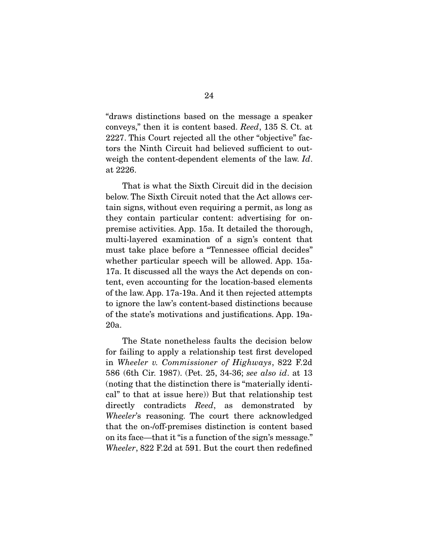"draws distinctions based on the message a speaker conveys," then it is content based. Reed, 135 S. Ct. at 2227. This Court rejected all the other "objective" factors the Ninth Circuit had believed sufficient to outweigh the content-dependent elements of the law. Id. at 2226.

 That is what the Sixth Circuit did in the decision below. The Sixth Circuit noted that the Act allows certain signs, without even requiring a permit, as long as they contain particular content: advertising for onpremise activities. App. 15a. It detailed the thorough, multi-layered examination of a sign's content that must take place before a "Tennessee official decides" whether particular speech will be allowed. App. 15a-17a. It discussed all the ways the Act depends on content, even accounting for the location-based elements of the law. App. 17a-19a. And it then rejected attempts to ignore the law's content-based distinctions because of the state's motivations and justifications. App. 19a-20a.

 The State nonetheless faults the decision below for failing to apply a relationship test first developed in Wheeler v. Commissioner of Highways, 822 F.2d 586 (6th Cir. 1987). (Pet. 25, 34-36; see also id. at 13 (noting that the distinction there is "materially identical" to that at issue here)) But that relationship test directly contradicts Reed, as demonstrated by Wheeler's reasoning. The court there acknowledged that the on-/off-premises distinction is content based on its face—that it "is a function of the sign's message." Wheeler, 822 F.2d at 591. But the court then redefined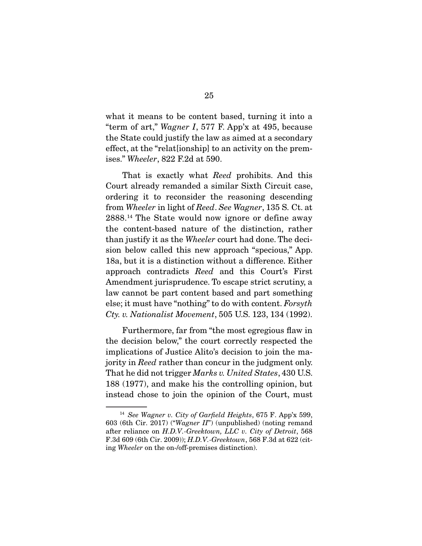what it means to be content based, turning it into a "term of art," Wagner I, 577 F. App'x at 495, because the State could justify the law as aimed at a secondary effect, at the "relat[ionship] to an activity on the premises." Wheeler, 822 F.2d at 590.

 That is exactly what Reed prohibits. And this Court already remanded a similar Sixth Circuit case, ordering it to reconsider the reasoning descending from Wheeler in light of Reed. See Wagner, 135 S. Ct. at 2888.14 The State would now ignore or define away the content-based nature of the distinction, rather than justify it as the Wheeler court had done. The decision below called this new approach "specious," App. 18a, but it is a distinction without a difference. Either approach contradicts Reed and this Court's First Amendment jurisprudence. To escape strict scrutiny, a law cannot be part content based and part something else; it must have "nothing" to do with content. Forsyth Cty. v. Nationalist Movement, 505 U.S. 123, 134 (1992).

 Furthermore, far from "the most egregious flaw in the decision below," the court correctly respected the implications of Justice Alito's decision to join the majority in Reed rather than concur in the judgment only. That he did not trigger *Marks v. United States*, 430 U.S. 188 (1977), and make his the controlling opinion, but instead chose to join the opinion of the Court, must

<sup>&</sup>lt;sup>14</sup> See Wagner v. City of Garfield Heights,  $675$  F. App'x 599, 603 (6th Cir. 2017) ("Wagner II") (unpublished) (noting remand after reliance on H.D.V.-Greektown, LLC v. City of Detroit, 568 F.3d 609 (6th Cir. 2009)); H.D.V.-Greektown, 568 F.3d at 622 (citing Wheeler on the on-/off-premises distinction).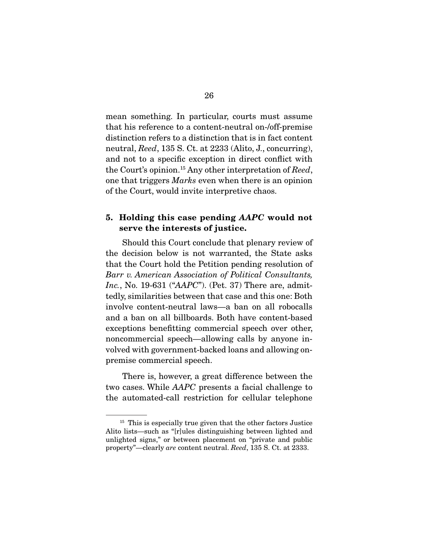mean something. In particular, courts must assume that his reference to a content-neutral on-/off-premise distinction refers to a distinction that is in fact content neutral, Reed, 135 S. Ct. at 2233 (Alito, J., concurring), and not to a specific exception in direct conflict with the Court's opinion.<sup>15</sup> Any other interpretation of Reed, one that triggers Marks even when there is an opinion of the Court, would invite interpretive chaos.

#### **5. Holding this case pending** *AAPC* **would not serve the interests of justice.**

 Should this Court conclude that plenary review of the decision below is not warranted, the State asks that the Court hold the Petition pending resolution of Barr v. American Association of Political Consultants, Inc., No. 19-631 (" $AAPC$ "). (Pet. 37) There are, admittedly, similarities between that case and this one: Both involve content-neutral laws—a ban on all robocalls and a ban on all billboards. Both have content-based exceptions benefitting commercial speech over other, noncommercial speech—allowing calls by anyone involved with government-backed loans and allowing onpremise commercial speech.

 There is, however, a great difference between the two cases. While AAPC presents a facial challenge to the automated-call restriction for cellular telephone

<sup>&</sup>lt;sup>15</sup> This is especially true given that the other factors Justice Alito lists—such as "[r]ules distinguishing between lighted and unlighted signs," or between placement on "private and public property"—clearly are content neutral. Reed, 135 S. Ct. at 2333.